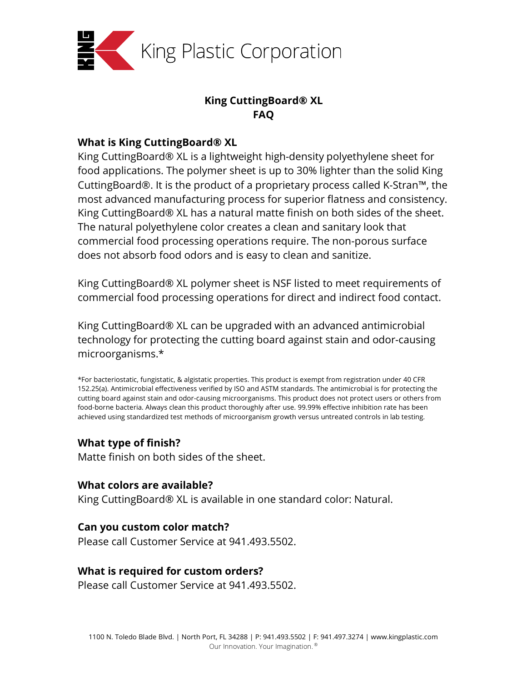

# **King CuttingBoard® XL FAQ**

### **What is King CuttingBoard® XL**

King CuttingBoard® XL is a lightweight high-density polyethylene sheet for food applications. The polymer sheet is up to 30% lighter than the solid King CuttingBoard®. It is the product of a proprietary process called K-Stran™, the most advanced manufacturing process for superior flatness and consistency. King CuttingBoard® XL has a natural matte finish on both sides of the sheet. The natural polyethylene color creates a clean and sanitary look that commercial food processing operations require. The non-porous surface does not absorb food odors and is easy to clean and sanitize.

King CuttingBoard® XL polymer sheet is NSF listed to meet requirements of commercial food processing operations for direct and indirect food contact.

King CuttingBoard® XL can be upgraded with an advanced antimicrobial technology for protecting the cutting board against stain and odor-causing microorganisms.\*

\*For bacteriostatic, fungistatic, & algistatic properties. This product is exempt from registration under 40 CFR 152.25(a). Antimicrobial effectiveness verified by ISO and ASTM standards. The antimicrobial is for protecting the cutting board against stain and odor-causing microorganisms. This product does not protect users or others from food-borne bacteria. Always clean this product thoroughly after use. 99.99% effective inhibition rate has been achieved using standardized test methods of microorganism growth versus untreated controls in lab testing.

#### **What type of finish?**

Matte finish on both sides of the sheet.

### **What colors are available?**

King CuttingBoard® XL is available in one standard color: Natural.

#### **Can you custom color match?**

Please call Customer Service at 941.493.5502.

#### **What is required for custom orders?**

Please call Customer Service at 941.493.5502.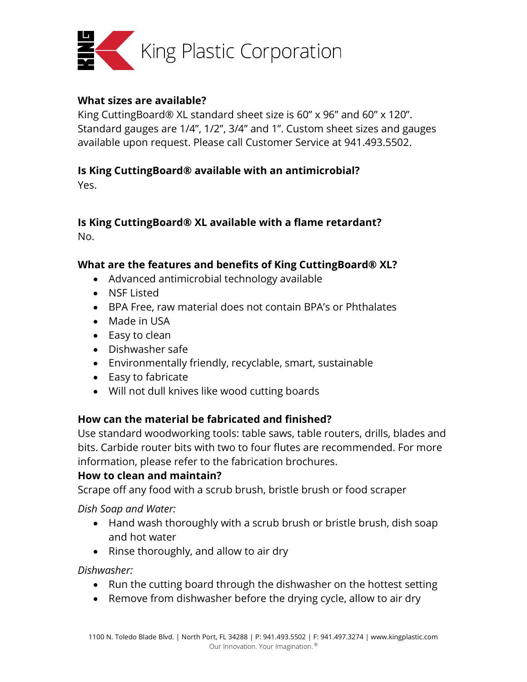

### **What sizes are available?**

King CuttingBoard® XL standard sheet size is 60" x 96" and 60" x 120". Standard gauges are 1/4", 1/2", 3/4" and 1". Custom sheet sizes and gauges available upon request. Please call Customer Service at 941.493.5502.

# **Is King CuttingBoard® available with an antimicrobial?**

Yes.

#### **Is King CuttingBoard® XL available with a flame retardant?** No.

# **What are the features and benefits of King CuttingBoard® XL?**

- Advanced antimicrobial technology available
- NSF Listed
- BPA Free, raw material does not contain BPA's or Phthalates
- Made in USA
- Easy to clean
- Dishwasher safe
- Environmentally friendly, recyclable, smart, sustainable
- Easy to fabricate
- Will not dull knives like wood cutting boards

# **How can the material be fabricated and finished?**

Use standard woodworking tools: table saws, table routers, drills, blades and bits. Carbide router bits with two to four flutes are recommended. For more information, please refer to the fabrication brochures.

## **How to clean and maintain?**

Scrape off any food with a scrub brush, bristle brush or food scraper

*Dish Soap and Water:*

- Hand wash thoroughly with a scrub brush or bristle brush, dish soap and hot water
- Rinse thoroughly, and allow to air dry

*Dishwasher:*

- Run the cutting board through the dishwasher on the hottest setting
- Remove from dishwasher before the drying cycle, allow to air dry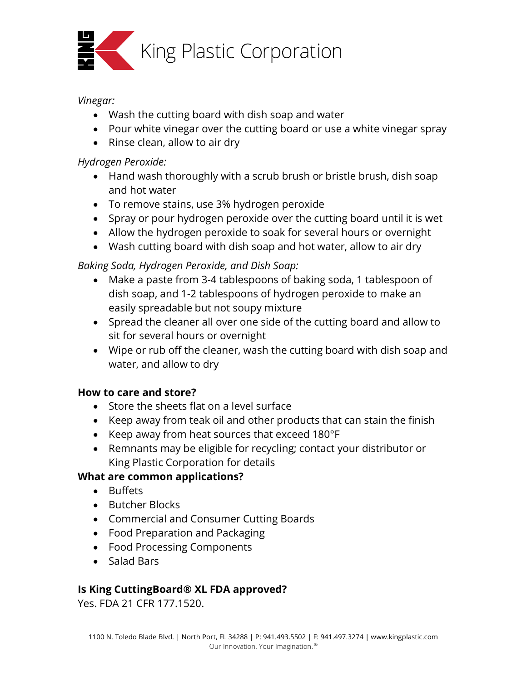

### *Vinegar:*

- Wash the cutting board with dish soap and water
- Pour white vinegar over the cutting board or use a white vinegar spray
- Rinse clean, allow to air dry

### *Hydrogen Peroxide:*

- Hand wash thoroughly with a scrub brush or bristle brush, dish soap and hot water
- To remove stains, use 3% hydrogen peroxide
- Spray or pour hydrogen peroxide over the cutting board until it is wet
- Allow the hydrogen peroxide to soak for several hours or overnight
- Wash cutting board with dish soap and hot water, allow to air dry

# *Baking Soda, Hydrogen Peroxide, and Dish Soap:*

- Make a paste from 3-4 tablespoons of baking soda, 1 tablespoon of dish soap, and 1-2 tablespoons of hydrogen peroxide to make an easily spreadable but not soupy mixture
- Spread the cleaner all over one side of the cutting board and allow to sit for several hours or overnight
- Wipe or rub off the cleaner, wash the cutting board with dish soap and water, and allow to dry

## **How to care and store?**

- Store the sheets flat on a level surface
- Keep away from teak oil and other products that can stain the finish
- Keep away from heat sources that exceed 180°F
- Remnants may be eligible for recycling; contact your distributor or King Plastic Corporation for details

## **What are common applications?**

- Buffets
- Butcher Blocks
- Commercial and Consumer Cutting Boards
- Food Preparation and Packaging
- Food Processing Components
- Salad Bars

## **Is King CuttingBoard® XL FDA approved?**

Yes. FDA 21 CFR 177.1520.